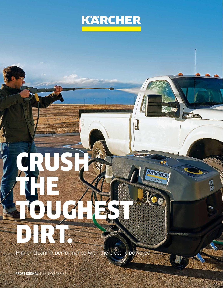

.<br>Kabup

KARCHER Professional

# $\Omega$ CRUSH THE TOUGHEST DIRT.

Higher cleaning performance with the electric-powered

**PROFESSIONAL** | MOJAVE SERIES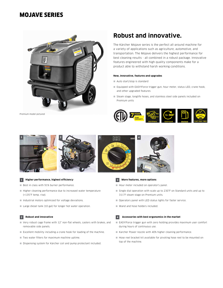### MOJAVE SERIES



Premium model pictured

## **Robust and innovative.**

The Kärcher Mojave series is the perfect all-around machine for a variety of applications such as agriculture, automotive, and transportation. The Mojave delivers the highest performance for best cleaning results - all combined in a robust package. Innovative features engineered with high quality components make for a product able to withstand harsh working conditions.

#### **New, innovative, features and upgrades**

Auto start/stop is standard

- Equipped with EASY!Force trigger gun, hour meter, status LED, crane hook, and other upgraded features
- Steam stage, longlife hoses, and stainless steel side panels included on Premium units





#### **1 Higher performance, highest efficiency**

Best in class with 91% burner performance.

- $\blacksquare$  Higher cleaning performance due to increased water temperature (>135°F temp. rise).
- Industrial motors optimized for voltage deviations.
- Large diesel tank (10 gal) for longer hot water operation.

#### **2 Robust and innovative**

- Very robust cage frame with 12" non-flat wheels, casters with brakes, and removable side panels.
- Excellent mobility including a crane hook for loading of the machine.
- Two water filters for maximum machine uptime.
- Dispensing system for Kärcher coil and pump protectant included.



- Hour meter included on operator's panel.
- Single dial operation with scale up to 230°F on Standard units and up to 311°F steam stage on Premium units.
- Operators panel with LED status lights for faster service.
- Wand and hose holders included.

#### **4 Accessories with best ergonomics in the market**

- EASY!Force trigger gun with zero holding provides maximum user comfort during hours of continuous use.
- Karcher Power nozzle with 40% higher cleaning performance.
- Hose reel bracket kit available for pivoting hose reel to be mounted on top of the machine.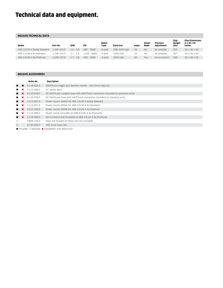## Technical data and equipment.

#### **MOJAVE TECHNICAL DATA**

| Model                       | Part No.    | GPM         | PSI          | Motor<br>Type | Electrical   | Amps | Steam<br>Mode | <b>Pressure</b><br>Adiustment | Ship<br>Weight<br>(lbs) | <b>Ship Dimensions</b><br>$(L \times W \times H)$<br>Inches |
|-----------------------------|-------------|-------------|--------------|---------------|--------------|------|---------------|-------------------------------|-------------------------|-------------------------------------------------------------|
| HDS 3.0/20-4 Ea/Eg Standard | 1.109-153.0 | $1.4 - 3.0$ | $580 - 2000$ | 4-pole        | 208-230V/1ph | 26   | <b>No</b>     | At unloader                   | 507                     | 50 x 40 x 50                                                |
| HDS 3.5/30-4 Ea Standard    | 1.109-155.0 | $2.1 - 3.5$ | 1150 - 3000  | 4-pole        | 230V/1ph     | 35   | <b>No</b>     | At unloader                   | 507                     | 50 x 40 x 50                                                |
| HDS 4.0/20-4 Ea Premium     | 1.109-157.0 | $1.7 - 4.0$ | $400 - 2000$ | 4-pole        | 230V/1ph     | 30   | Yes           | Servo Control                 | 550                     | 50 x 40 x 50                                                |

#### **MOJAVE ACCESSORIES**

|        | Order No.                                                                         | Description                                                                        |  |  |  |  |
|--------|-----------------------------------------------------------------------------------|------------------------------------------------------------------------------------|--|--|--|--|
| . .    | 4.118-005.0                                                                       | EASY!Force trigger gun (German model) - zero force required                        |  |  |  |  |
|        | 4.112-000.0                                                                       | 41" spray lance                                                                    |  |  |  |  |
|        | 6.110-029.0                                                                       | 50' EASY!Lock Longlife hose with ANT!!Twist connection (included on premium units) |  |  |  |  |
| ■      | 6.110-030.0                                                                       | 50' EASY!Lock hose with ANTI!Twist connection (included on standard units)         |  |  |  |  |
| . .    | 2.113-007.0                                                                       | Power nozzle 25042 for HDS 3.0/20-4 Ea/Eg Standard                                 |  |  |  |  |
| . .    | 2.113-021.0                                                                       | Power nozzle 25040 for HDS 3.5/30-4 Ea Standard                                    |  |  |  |  |
|        | 4.115-020.0                                                                       | Power nozzle 25058 for HDS 4.0/20-4 Ea Premium                                     |  |  |  |  |
|        | 2.114-008.0                                                                       | Steam nozzle (included on HDS 4.0/20-4 Ea Premium)                                 |  |  |  |  |
|        | 4.118-008.0                                                                       | Servo Control dial (included on HDS 4.0/20-4 Ea Premium)                           |  |  |  |  |
| □      | 9.808-276.0                                                                       | Hose reel bracket kit (hose reel not included)                                     |  |  |  |  |
| $\Box$ | 8.750-685.0                                                                       | 100' pivot hose reel                                                               |  |  |  |  |
|        | $\blacksquare$ Included $\Box$ Ontional $\blacksquare$ Compatible with EASVII ock |                                                                                    |  |  |  |  |

 $\blacksquare$  Included  $\Box$  Optional  $\blacksquare$  Compatible with EASY!Lock